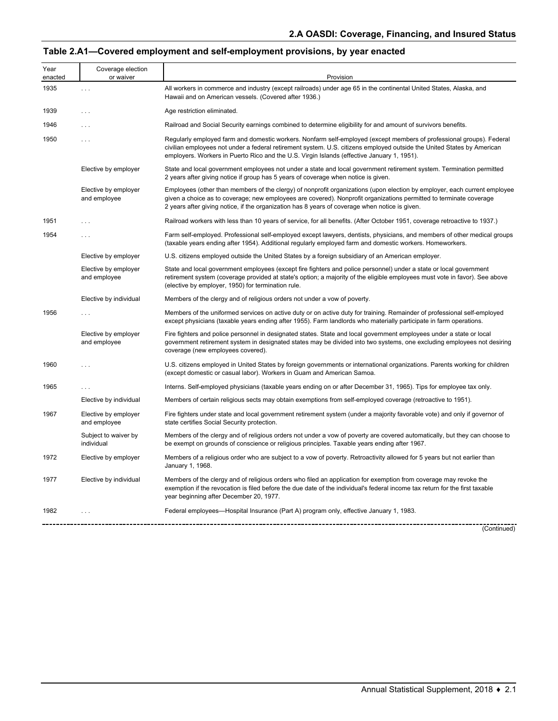# **Table 2.A1—Covered employment and self-employment provisions, by year enacted**

| Year<br>enacted | Coverage election<br>or waiver       | Provision                                                                                                                                                                                                                                                                                                                                         |
|-----------------|--------------------------------------|---------------------------------------------------------------------------------------------------------------------------------------------------------------------------------------------------------------------------------------------------------------------------------------------------------------------------------------------------|
| 1935            | $\cdots$                             | All workers in commerce and industry (except railroads) under age 65 in the continental United States, Alaska, and<br>Hawaii and on American vessels. (Covered after 1936.)                                                                                                                                                                       |
| 1939            | $\ldots$                             | Age restriction eliminated.                                                                                                                                                                                                                                                                                                                       |
| 1946            | $\cdots$                             | Railroad and Social Security earnings combined to determine eligibility for and amount of survivors benefits.                                                                                                                                                                                                                                     |
| 1950            | $\cdots$                             | Regularly employed farm and domestic workers. Nonfarm self-employed (except members of professional groups). Federal<br>civilian employees not under a federal retirement system. U.S. citizens employed outside the United States by American<br>employers. Workers in Puerto Rico and the U.S. Virgin Islands (effective January 1, 1951).      |
|                 | Elective by employer                 | State and local government employees not under a state and local government retirement system. Termination permitted<br>2 years after giving notice if group has 5 years of coverage when notice is given.                                                                                                                                        |
|                 | Elective by employer<br>and employee | Employees (other than members of the clergy) of nonprofit organizations (upon election by employer, each current employee<br>given a choice as to coverage; new employees are covered). Nonprofit organizations permitted to terminate coverage<br>2 years after giving notice, if the organization has 8 years of coverage when notice is given. |
| 1951            | $\ldots$                             | Railroad workers with less than 10 years of service, for all benefits. (After October 1951, coverage retroactive to 1937.)                                                                                                                                                                                                                        |
| 1954            | $\cdots$                             | Farm self-employed. Professional self-employed except lawyers, dentists, physicians, and members of other medical groups<br>(taxable years ending after 1954). Additional regularly employed farm and domestic workers. Homeworkers.                                                                                                              |
|                 | Elective by employer                 | U.S. citizens employed outside the United States by a foreign subsidiary of an American employer.                                                                                                                                                                                                                                                 |
|                 | Elective by employer<br>and employee | State and local government employees (except fire fighters and police personnel) under a state or local government<br>retirement system (coverage provided at state's option; a majority of the eligible employees must vote in favor). See above<br>(elective by employer, 1950) for termination rule.                                           |
|                 | Elective by individual               | Members of the clergy and of religious orders not under a vow of poverty.                                                                                                                                                                                                                                                                         |
| 1956            | $\ldots$                             | Members of the uniformed services on active duty or on active duty for training. Remainder of professional self-employed<br>except physicians (taxable years ending after 1955). Farm landlords who materially participate in farm operations.                                                                                                    |
|                 | Elective by employer<br>and employee | Fire fighters and police personnel in designated states. State and local government employees under a state or local<br>government retirement system in designated states may be divided into two systems, one excluding employees not desiring<br>coverage (new employees covered).                                                              |
| 1960            | .                                    | U.S. citizens employed in United States by foreign governments or international organizations. Parents working for children<br>(except domestic or casual labor). Workers in Guam and American Samoa.                                                                                                                                             |
| 1965            | $\cdots$                             | Interns. Self-employed physicians (taxable years ending on or after December 31, 1965). Tips for employee tax only.                                                                                                                                                                                                                               |
|                 | Elective by individual               | Members of certain religious sects may obtain exemptions from self-employed coverage (retroactive to 1951).                                                                                                                                                                                                                                       |
| 1967            | Elective by employer<br>and employee | Fire fighters under state and local government retirement system (under a majority favorable vote) and only if governor of<br>state certifies Social Security protection.                                                                                                                                                                         |
|                 | Subject to waiver by<br>individual   | Members of the clergy and of religious orders not under a vow of poverty are covered automatically, but they can choose to<br>be exempt on grounds of conscience or religious principles. Taxable years ending after 1967.                                                                                                                        |
| 1972            | Elective by employer                 | Members of a religious order who are subject to a vow of poverty. Retroactivity allowed for 5 years but not earlier than<br>January 1, 1968.                                                                                                                                                                                                      |
| 1977            | Elective by individual               | Members of the clergy and of religious orders who filed an application for exemption from coverage may revoke the<br>exemption if the revocation is filed before the due date of the individual's federal income tax return for the first taxable<br>year beginning after December 20, 1977.                                                      |
| 1982            | $\ldots$                             | Federal employees—Hospital Insurance (Part A) program only, effective January 1, 1983.                                                                                                                                                                                                                                                            |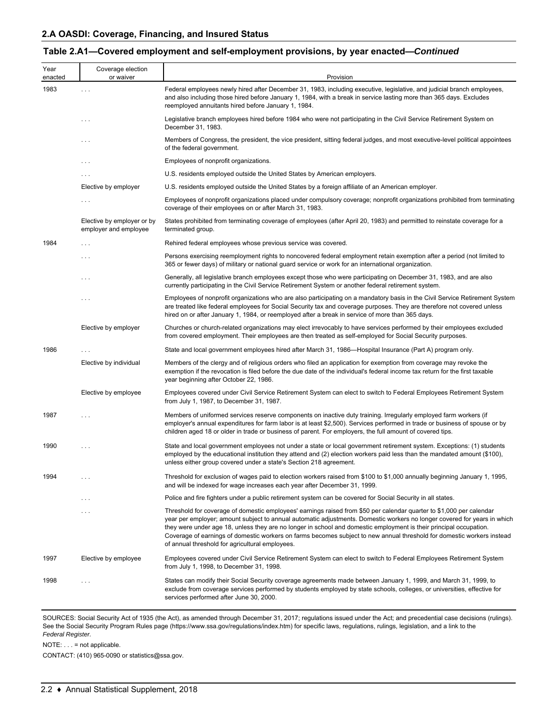#### **Table 2.A1—Covered employment and self-employment provisions, by year enacted—***Continued*

| Year<br>enacted | Coverage election<br>or waiver                      | Provision                                                                                                                                                                                                                                                                                                                                                                                                                                                                                                                                           |
|-----------------|-----------------------------------------------------|-----------------------------------------------------------------------------------------------------------------------------------------------------------------------------------------------------------------------------------------------------------------------------------------------------------------------------------------------------------------------------------------------------------------------------------------------------------------------------------------------------------------------------------------------------|
| 1983            | $\ldots$                                            | Federal employees newly hired after December 31, 1983, including executive, legislative, and judicial branch employees,<br>and also including those hired before January 1, 1984, with a break in service lasting more than 365 days. Excludes<br>reemployed annuitants hired before January 1, 1984.                                                                                                                                                                                                                                               |
|                 | $\cdots$                                            | Legislative branch employees hired before 1984 who were not participating in the Civil Service Retirement System on<br>December 31, 1983.                                                                                                                                                                                                                                                                                                                                                                                                           |
|                 | $\cdots$                                            | Members of Congress, the president, the vice president, sitting federal judges, and most executive-level political appointees<br>of the federal government.                                                                                                                                                                                                                                                                                                                                                                                         |
|                 | $\cdots$                                            | Employees of nonprofit organizations.                                                                                                                                                                                                                                                                                                                                                                                                                                                                                                               |
|                 | $\cdots$                                            | U.S. residents employed outside the United States by American employers.                                                                                                                                                                                                                                                                                                                                                                                                                                                                            |
|                 | Elective by employer                                | U.S. residents employed outside the United States by a foreign affiliate of an American employer.                                                                                                                                                                                                                                                                                                                                                                                                                                                   |
|                 | $\ldots$ .                                          | Employees of nonprofit organizations placed under compulsory coverage; nonprofit organizations prohibited from terminating<br>coverage of their employees on or after March 31, 1983.                                                                                                                                                                                                                                                                                                                                                               |
|                 | Elective by employer or by<br>employer and employee | States prohibited from terminating coverage of employees (after April 20, 1983) and permitted to reinstate coverage for a<br>terminated group.                                                                                                                                                                                                                                                                                                                                                                                                      |
| 1984            | $\ldots$ .                                          | Rehired federal employees whose previous service was covered.                                                                                                                                                                                                                                                                                                                                                                                                                                                                                       |
|                 | $\cdots$                                            | Persons exercising reemployment rights to noncovered federal employment retain exemption after a period (not limited to<br>365 or fewer days) of military or national guard service or work for an international organization.                                                                                                                                                                                                                                                                                                                      |
|                 | $\cdots$                                            | Generally, all legislative branch employees except those who were participating on December 31, 1983, and are also<br>currently participating in the Civil Service Retirement System or another federal retirement system.                                                                                                                                                                                                                                                                                                                          |
|                 | $\cdots$                                            | Employees of nonprofit organizations who are also participating on a mandatory basis in the Civil Service Retirement System<br>are treated like federal employees for Social Security tax and coverage purposes. They are therefore not covered unless<br>hired on or after January 1, 1984, or reemployed after a break in service of more than 365 days.                                                                                                                                                                                          |
|                 | Elective by employer                                | Churches or church-related organizations may elect irrevocably to have services performed by their employees excluded<br>from covered employment. Their employees are then treated as self-employed for Social Security purposes.                                                                                                                                                                                                                                                                                                                   |
| 1986            |                                                     | State and local government employees hired after March 31, 1986—Hospital Insurance (Part A) program only.                                                                                                                                                                                                                                                                                                                                                                                                                                           |
|                 | Elective by individual                              | Members of the clergy and of religious orders who filed an application for exemption from coverage may revoke the<br>exemption if the revocation is filed before the due date of the individual's federal income tax return for the first taxable<br>year beginning after October 22, 1986.                                                                                                                                                                                                                                                         |
|                 | Elective by employee                                | Employees covered under Civil Service Retirement System can elect to switch to Federal Employees Retirement System<br>from July 1, 1987, to December 31, 1987.                                                                                                                                                                                                                                                                                                                                                                                      |
| 1987            | $\cdots$                                            | Members of uniformed services reserve components on inactive duty training. Irregularly employed farm workers (if<br>employer's annual expenditures for farm labor is at least \$2,500). Services performed in trade or business of spouse or by<br>children aged 18 or older in trade or business of parent. For employers, the full amount of covered tips.                                                                                                                                                                                       |
| 1990            | $\cdots$                                            | State and local government employees not under a state or local government retirement system. Exceptions: (1) students<br>employed by the educational institution they attend and (2) election workers paid less than the mandated amount (\$100),<br>unless either group covered under a state's Section 218 agreement.                                                                                                                                                                                                                            |
| 1994            | $\cdots$                                            | Threshold for exclusion of wages paid to election workers raised from \$100 to \$1,000 annually beginning January 1, 1995,<br>and will be indexed for wage increases each year after December 31, 1999.                                                                                                                                                                                                                                                                                                                                             |
|                 | $\cdots$                                            | Police and fire fighters under a public retirement system can be covered for Social Security in all states.                                                                                                                                                                                                                                                                                                                                                                                                                                         |
|                 | $\cdots$                                            | Threshold for coverage of domestic employees' earnings raised from \$50 per calendar quarter to \$1,000 per calendar<br>year per employer; amount subject to annual automatic adjustments. Domestic workers no longer covered for years in which<br>they were under age 18, unless they are no longer in school and domestic employment is their principal occupation.<br>Coverage of earnings of domestic workers on farms becomes subject to new annual threshold for domestic workers instead<br>of annual threshold for agricultural employees. |
| 1997            | Elective by employee                                | Employees covered under Civil Service Retirement System can elect to switch to Federal Employees Retirement System<br>from July 1, 1998, to December 31, 1998.                                                                                                                                                                                                                                                                                                                                                                                      |
| 1998            | $\cdots$                                            | States can modify their Social Security coverage agreements made between January 1, 1999, and March 31, 1999, to<br>exclude from coverage services performed by students employed by state schools, colleges, or universities, effective for<br>services performed after June 30, 2000.                                                                                                                                                                                                                                                             |

SOURCES: Social Security Act of 1935 (the Act), as amended through December 31, 2017; regulations issued under the Act; and precedential case decisions (rulings). See the Social Security Program Rules page (https://www.ssa.gov/regulations/index.htm) for specific laws, regulations, rulings, legislation, and a link to the *Federal Register.*

NOTE: . . . = not applicable.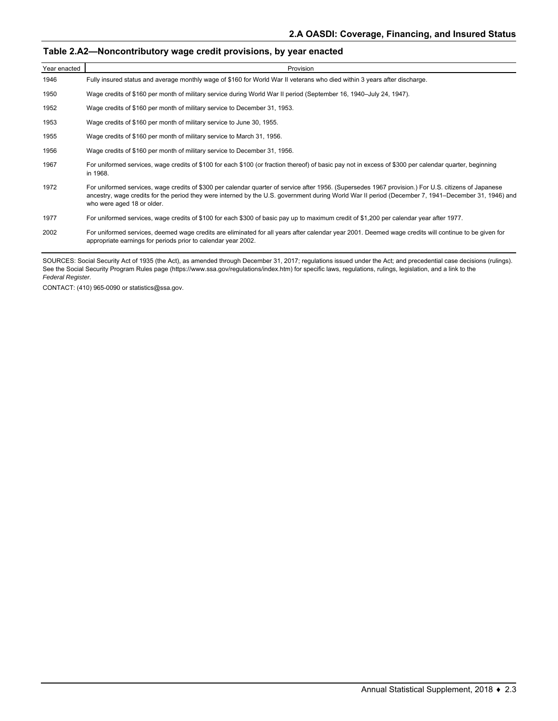### **Table 2.A2—Noncontributory wage credit provisions, by year enacted**

| Year enacted | Provision                                                                                                                                                                                                                                                                                                                                 |
|--------------|-------------------------------------------------------------------------------------------------------------------------------------------------------------------------------------------------------------------------------------------------------------------------------------------------------------------------------------------|
| 1946         | Fully insured status and average monthly wage of \$160 for World War II veterans who died within 3 years after discharge.                                                                                                                                                                                                                 |
| 1950         | Wage credits of \$160 per month of military service during World War II period (September 16, 1940–July 24, 1947).                                                                                                                                                                                                                        |
| 1952         | Wage credits of \$160 per month of military service to December 31, 1953.                                                                                                                                                                                                                                                                 |
| 1953         | Wage credits of \$160 per month of military service to June 30, 1955.                                                                                                                                                                                                                                                                     |
| 1955         | Wage credits of \$160 per month of military service to March 31, 1956.                                                                                                                                                                                                                                                                    |
| 1956         | Wage credits of \$160 per month of military service to December 31, 1956.                                                                                                                                                                                                                                                                 |
| 1967         | For uniformed services, wage credits of \$100 for each \$100 (or fraction thereof) of basic pay not in excess of \$300 per calendar quarter, beginning<br>in 1968.                                                                                                                                                                        |
| 1972         | For uniformed services, wage credits of \$300 per calendar quarter of service after 1956. (Supersedes 1967 provision.) For U.S. citizens of Japanese<br>ancestry, wage credits for the period they were interned by the U.S. government during World War II period (December 7, 1941–December 31, 1946) and<br>who were aged 18 or older. |
| 1977         | For uniformed services, wage credits of \$100 for each \$300 of basic pay up to maximum credit of \$1,200 per calendar year after 1977.                                                                                                                                                                                                   |
| 2002         | For uniformed services, deemed wage credits are eliminated for all years after calendar year 2001. Deemed wage credits will continue to be given for<br>appropriate earnings for periods prior to calendar year 2002.                                                                                                                     |

SOURCES: Social Security Act of 1935 (the Act), as amended through December 31, 2017; regulations issued under the Act; and precedential case decisions (rulings). See the Social Security Program Rules page (https://www.ssa.gov/regulations/index.htm) for specific laws, regulations, rulings, legislation, and a link to the *Federal Register.*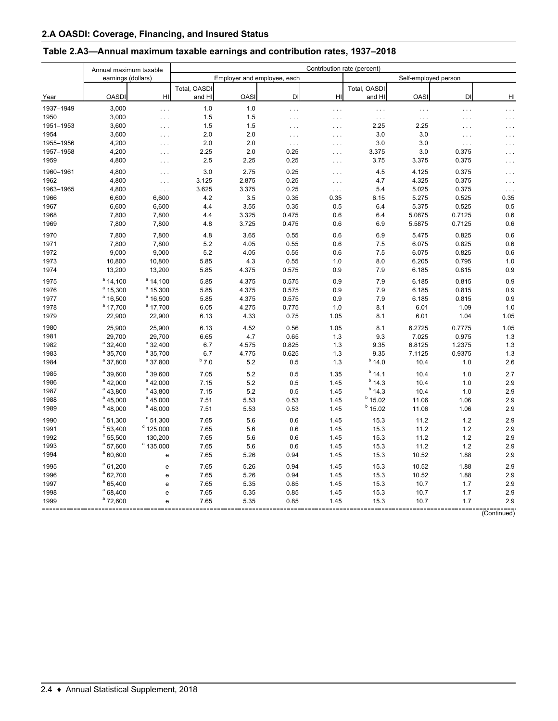|           | Annual maximum taxable |                                   | Contribution rate (percent) |             |                             |                      |                      |                      |          |          |  |
|-----------|------------------------|-----------------------------------|-----------------------------|-------------|-----------------------------|----------------------|----------------------|----------------------|----------|----------|--|
|           | earnings (dollars)     |                                   |                             |             | Employer and employee, each |                      |                      | Self-employed person |          |          |  |
|           |                        |                                   | Total, OASDI                |             |                             |                      | Total, OASDI         |                      |          |          |  |
| Year      | <b>OASDI</b>           | H <sub>l</sub>                    | and HI                      | <b>OASI</b> | DI                          | HI                   | and HI               | <b>OASI</b>          | DI       | HI       |  |
| 1937-1949 | 3,000                  | $\ldots$                          | 1.0                         | 1.0         | .                           | $\ldots$             | $\sim$ $\sim$        | $\ldots$             | $\ldots$ | $\cdots$ |  |
| 1950      | 3,000                  | $\ldots$                          | 1.5                         | 1.5         | $\ldots$                    | $\cdots$             | $\sim$ $\sim$ $\sim$ | $\sim$ $\sim$ $\sim$ | $\cdots$ |          |  |
| 1951-1953 | 3,600                  | $\ldots$                          | 1.5                         | 1.5         | $\cdots$                    | $\cdots$             | 2.25                 | 2.25                 | $\cdots$ |          |  |
| 1954      | 3,600                  | $\ldots$                          | 2.0                         | 2.0         | $\ldots$                    | $\ldots$             | 3.0                  | 3.0                  | $\cdots$ |          |  |
| 1955-1956 | 4,200                  | $\cdots$                          | 2.0                         | 2.0         | $\ldots$                    | $\cdots$             | 3.0                  | 3.0                  | $\cdots$ |          |  |
| 1957-1958 | 4,200                  | $\cdots$                          | 2.25                        | 2.0         | 0.25                        | $\cdots$             | 3.375                | 3.0                  | 0.375    |          |  |
| 1959      | 4,800                  | $\ldots$                          | 2.5                         | 2.25        | 0.25                        | $\cdots$             | 3.75                 | 3.375                | 0.375    |          |  |
| 1960-1961 | 4,800                  | $\ldots$                          | 3.0                         | 2.75        | 0.25                        | $\cdots$             | 4.5                  | 4.125                | 0.375    |          |  |
| 1962      | 4,800                  | $\sim 100$                        | 3.125                       | 2.875       | 0.25                        | $\sim$ $\sim$ $\sim$ | 4.7                  | 4.325                | 0.375    |          |  |
| 1963-1965 | 4,800                  | $\ldots$                          | 3.625                       | 3.375       | 0.25                        | $\cdots$             | 5.4                  | 5.025                | 0.375    |          |  |
| 1966      | 6,600                  | 6,600                             | 4.2                         | 3.5         | 0.35                        | 0.35                 | 6.15                 | 5.275                | 0.525    | 0.35     |  |
| 1967      | 6,600                  | 6,600                             | 4.4                         | 3.55        | 0.35                        | 0.5                  | 6.4                  | 5.375                | 0.525    | 0.5      |  |
| 1968      | 7,800                  | 7,800                             | 4.4                         | 3.325       | 0.475                       | 0.6                  | 6.4                  | 5.0875               | 0.7125   | 0.6      |  |
| 1969      | 7,800                  | 7,800                             | 4.8                         | 3.725       | 0.475                       | 0.6                  | 6.9                  | 5.5875               | 0.7125   | 0.6      |  |
| 1970      | 7,800                  | 7,800                             | 4.8                         | 3.65        | 0.55                        | 0.6                  | 6.9                  | 5.475                | 0.825    | 0.6      |  |
| 1971      | 7,800                  | 7,800                             | 5.2                         | 4.05        | 0.55                        | 0.6                  | 7.5                  | 6.075                | 0.825    | 0.6      |  |
| 1972      | 9,000                  | 9,000                             | 5.2                         | 4.05        | 0.55                        | 0.6                  | 7.5                  | 6.075                | 0.825    | 0.6      |  |
| 1973      | 10,800                 | 10,800                            | 5.85                        | 4.3         | 0.55                        | 1.0                  | 8.0                  | 6.205                | 0.795    | 1.0      |  |
| 1974      | 13,200                 | 13,200                            | 5.85                        | 4.375       | 0.575                       | 0.9                  | 7.9                  | 6.185                | 0.815    | 0.9      |  |
| 1975      | $a$ 14,100             | $a$ 14,100                        | 5.85                        | 4.375       | 0.575                       | 0.9                  | 7.9                  | 6.185                | 0.815    | 0.9      |  |
| 1976      | $a$ 15,300             | $^a$ 15,300                       | 5.85                        | 4.375       | 0.575                       | 0.9                  | 7.9                  | 6.185                | 0.815    | 0.9      |  |
| 1977      | $^a$ 16,500            | $^{\circ}$ 16.500                 | 5.85                        | 4.375       | 0.575                       | 0.9                  | 7.9                  | 6.185                | 0.815    | 0.9      |  |
| 1978      | $^a$ 17,700            | $^{\circ}$ 17,700                 | 6.05                        | 4.275       | 0.775                       | 1.0                  | 8.1                  | 6.01                 | 1.09     | 1.0      |  |
| 1979      | 22,900                 | 22,900                            | 6.13                        | 4.33        | 0.75                        | 1.05                 | 8.1                  | 6.01                 | 1.04     | 1.05     |  |
| 1980      | 25,900                 | 25,900                            | 6.13                        | 4.52        | 0.56                        | 1.05                 | 8.1                  | 6.2725               | 0.7775   | 1.05     |  |
| 1981      | 29,700                 | 29,700                            | 6.65                        | 4.7         | 0.65                        | 1.3                  | 9.3                  | 7.025                | 0.975    | 1.3      |  |
| 1982      | $a$ 32,400             | $a$ 32,400                        | 6.7                         | 4.575       | 0.825                       | 1.3                  | 9.35                 | 6.8125               | 1.2375   | 1.3      |  |
| 1983      | $a$ 35,700             | $a$ 35,700                        | 6.7                         | 4.775       | 0.625                       | 1.3                  | 9.35                 | 7.1125               | 0.9375   | 1.3      |  |
| 1984      | <sup>a</sup> 37,800    | <sup>a</sup> 37,800               | $b$ 7.0                     | 5.2         | 0.5                         | 1.3                  | $b$ 14.0             | 10.4                 | 1.0      | 2.6      |  |
| 1985      | <sup>a</sup> 39,600    | <sup>a</sup> 39.600               | 7.05                        | 5.2         | 0.5                         | 1.35                 | $^{b}$ 14.1          | 10.4                 | 1.0      | 2.7      |  |
| 1986      | $a$ 42,000             | $a$ 42.000                        | 7.15                        | 5.2         | 0.5                         | 1.45                 | $b$ 14.3             | 10.4                 | 1.0      | 2.9      |  |
| 1987      | $a$ 43,800             | $^a$ 43,800                       | 7.15                        | 5.2         | 0.5                         | 1.45                 | $b$ 14.3             | 10.4                 | 1.0      | 2.9      |  |
| 1988      | $^a$ 45,000            | $^{\circ}$ 45,000                 | 7.51                        | 5.53        | 0.53                        | 1.45                 | $b$ 15.02            | 11.06                | 1.06     | 2.9      |  |
| 1989      | $^a$ 48,000            | $a$ 48,000                        | 7.51                        | 5.53        | 0.53                        | 1.45                 | $b$ 15.02            | 11.06                | 1.06     | 2.9      |  |
| 1990      | $^{\circ}$ 51,300      | $^{\circ}$ 51,300                 | 7.65                        | 5.6         | 0.6                         | 1.45                 | 15.3                 | 11.2                 | 1.2      | 2.9      |  |
| 1991      | $^{\circ}$ 53,400      | $^{\rm d}$ 125,000                | 7.65                        | 5.6         | 0.6                         | 1.45                 | 15.3                 | 11.2                 | 1.2      | 2.9      |  |
| 1992      | $^{\circ}$ 55,500      | 130,200                           | 7.65                        | 5.6         | 0.6                         | 1.45                 | 15.3                 | 11.2                 | 1.2      | 2.9      |  |
| 1993      | $^a$ 57,600            | $a$ 135.000                       | 7.65                        | 5.6         | 0.6                         | 1.45                 | 15.3                 | 11.2                 | 1.2      | 2.9      |  |
| 1994      | $a$ 60,600             | e                                 | 7.65                        | 5.26        | 0.94                        | 1.45                 | 15.3                 | 10.52                | 1.88     | 2.9      |  |
| 1995      | $a$ 61,200             | $\mathsf{e}% _{t}\left( t\right)$ | 7.65                        | 5.26        | 0.94                        | 1.45                 | 15.3                 | 10.52                | 1.88     | 2.9      |  |
| 1996      | $a$ 62,700             | $\mathsf{e}\,$                    | 7.65                        | 5.26        | 0.94                        | 1.45                 | 15.3                 | 10.52                | 1.88     | 2.9      |  |
| 1997      | $a$ 65,400             | e                                 | 7.65                        | 5.35        | 0.85                        | 1.45                 | 15.3                 | 10.7                 | 1.7      | 2.9      |  |
| 1998      | $a$ 68,400             | e                                 | 7.65                        | 5.35        | 0.85                        | 1.45                 | 15.3                 | 10.7                 | 1.7      | 2.9      |  |
| 1999      | $^a$ 72,600            | e                                 | 7.65                        | 5.35        | 0.85                        | 1.45                 | 15.3                 | 10.7                 | 1.7      | 2.9      |  |

## **Table 2.A3—Annual maximum taxable earnings and contribution rates, 1937–2018**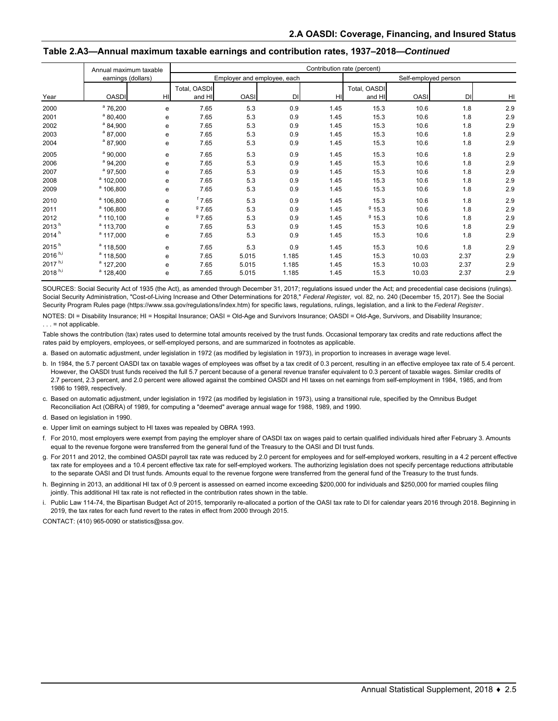|                   | Annual maximum taxable |                | Contribution rate (percent) |             |       |      |              |                      |      |     |  |
|-------------------|------------------------|----------------|-----------------------------|-------------|-------|------|--------------|----------------------|------|-----|--|
|                   | earnings (dollars)     |                | Employer and employee, each |             |       |      |              | Self-employed person |      |     |  |
|                   |                        |                | Total, OASDI                |             |       |      | Total, OASDI |                      |      |     |  |
| Year              | <b>OASDI</b>           | H <sub>l</sub> | and HI                      | <b>OASI</b> | DI    | HI   | and HI       | <b>OASI</b>          | DI   | HI  |  |
| 2000              | $^a$ 76,200            | e              | 7.65                        | 5.3         | 0.9   | 1.45 | 15.3         | 10.6                 | 1.8  | 2.9 |  |
| 2001              | $^{\circ}$ 80,400      | е              | 7.65                        | 5.3         | 0.9   | 1.45 | 15.3         | 10.6                 | 1.8  | 2.9 |  |
| 2002              | $^{\circ}$ 84,900      | е              | 7.65                        | 5.3         | 0.9   | 1.45 | 15.3         | 10.6                 | 1.8  | 2.9 |  |
| 2003              | $^{\circ}$ 87,000      | е              | 7.65                        | 5.3         | 0.9   | 1.45 | 15.3         | 10.6                 | 1.8  | 2.9 |  |
| 2004              | $^{\circ}$ 87,900      | е              | 7.65                        | 5.3         | 0.9   | 1.45 | 15.3         | 10.6                 | 1.8  | 2.9 |  |
| 2005              | $^a$ 90,000            | е              | 7.65                        | 5.3         | 0.9   | 1.45 | 15.3         | 10.6                 | 1.8  | 2.9 |  |
| 2006              | $^a$ 94,200            | е              | 7.65                        | 5.3         | 0.9   | 1.45 | 15.3         | 10.6                 | 1.8  | 2.9 |  |
| 2007              | $^a$ 97,500            | е              | 7.65                        | 5.3         | 0.9   | 1.45 | 15.3         | 10.6                 | 1.8  | 2.9 |  |
| 2008              | $^a$ 102,000           | е              | 7.65                        | 5.3         | 0.9   | 1.45 | 15.3         | 10.6                 | 1.8  | 2.9 |  |
| 2009              | $^a$ 106,800           | е              | 7.65                        | 5.3         | 0.9   | 1.45 | 15.3         | 10.6                 | 1.8  | 2.9 |  |
| 2010              | $^a$ 106,800           | е              | $^{\rm f}$ 7.65             | 5.3         | 0.9   | 1.45 | 15.3         | 10.6                 | 1.8  | 2.9 |  |
| 2011              | <sup>a</sup> 106,800   | e              | 97.65                       | 5.3         | 0.9   | 1.45 | 915.3        | 10.6                 | 1.8  | 2.9 |  |
| 2012              | $a$ 110,100            | e              | 97.65                       | 5.3         | 0.9   | 1.45 | $9$ 15.3     | 10.6                 | 1.8  | 2.9 |  |
| 2013 <sup>h</sup> | $a$ 113,700            | е              | 7.65                        | 5.3         | 0.9   | 1.45 | 15.3         | 10.6                 | 1.8  | 2.9 |  |
| 2014 <sup>h</sup> | $^a$ 117,000           | e              | 7.65                        | 5.3         | 0.9   | 1.45 | 15.3         | 10.6                 | 1.8  | 2.9 |  |
| 2015 <sup>h</sup> | $a$ 118,500            | е              | 7.65                        | 5.3         | 0.9   | 1.45 | 15.3         | 10.6                 | 1.8  | 2.9 |  |
| $2016 h^{,i}$     | <sup>a</sup> 118,500   | e              | 7.65                        | 5.015       | 1.185 | 1.45 | 15.3         | 10.03                | 2.37 | 2.9 |  |
| $2017 h^{,i}$     | <sup>a</sup> 127,200   | е              | 7.65                        | 5.015       | 1.185 | 1.45 | 15.3         | 10.03                | 2.37 | 2.9 |  |
| $2018 h$ ,i       | $^a$ 128,400           | e              | 7.65                        | 5.015       | 1.185 | 1.45 | 15.3         | 10.03                | 2.37 | 2.9 |  |

#### **Table 2.A3—Annual maximum taxable earnings and contribution rates, 1937–2018—***Continued*

SOURCES: Social Security Act of 1935 (the Act), as amended through December 31, 2017; regulations issued under the Act; and precedential case decisions (rulings). Social Security Administration, "Cost-of-Living Increase and Other Determinations for 2018," *Federal Register,* vol. 82, no. 240 (December 15, 2017). See the Social Security Program Rules page (https://www.ssa.gov/regulations/index.htm) for specific laws, regulations, rulings, legislation, and a link to the *Federal Register*.

NOTES: DI = Disability Insurance; HI = Hospital Insurance; OASI = Old-Age and Survivors Insurance; OASDI = Old-Age, Survivors, and Disability Insurance;  $\ldots$  = not applicable.

Table shows the contribution (tax) rates used to determine total amounts received by the trust funds. Occasional temporary tax credits and rate reductions affect the rates paid by employers, employees, or self-employed persons, and are summarized in footnotes as applicable.

a. Based on automatic adjustment, under legislation in 1972 (as modified by legislation in 1973), in proportion to increases in average wage level.

b. In 1984, the 5.7 percent OASDI tax on taxable wages of employees was offset by a tax credit of 0.3 percent, resulting in an effective employee tax rate of 5.4 percent. However, the OASDI trust funds received the full 5.7 percent because of a general revenue transfer equivalent to 0.3 percent of taxable wages. Similar credits of 2.7 percent, 2.3 percent, and 2.0 percent were allowed against the combined OASDI and HI taxes on net earnings from self-employment in 1984, 1985, and from 1986 to 1989, respectively.

c. Based on automatic adjustment, under legislation in 1972 (as modified by legislation in 1973), using a transitional rule, specified by the Omnibus Budget Reconciliation Act (OBRA) of 1989, for computing a "deemed" average annual wage for 1988, 1989, and 1990.

d. Based on legislation in 1990.

e. Upper limit on earnings subject to HI taxes was repealed by OBRA 1993.

f. For 2010, most employers were exempt from paying the employer share of OASDI tax on wages paid to certain qualified individuals hired after February 3. Amounts equal to the revenue forgone were transferred from the general fund of the Treasury to the OASI and DI trust funds.

g. For 2011 and 2012, the combined OASDI payroll tax rate was reduced by 2.0 percent for employees and for self-employed workers, resulting in a 4.2 percent effective tax rate for employees and a 10.4 percent effective tax rate for self-employed workers. The authorizing legislation does not specify percentage reductions attributable to the separate OASI and DI trust funds. Amounts equal to the revenue forgone were transferred from the general fund of the Treasury to the trust funds.

h. Beginning in 2013, an additional HI tax of 0.9 percent is assessed on earned income exceeding \$200,000 for individuals and \$250,000 for married couples filing jointly. This additional HI tax rate is not reflected in the contribution rates shown in the table.

i. Public Law 114-74, the Bipartisan Budget Act of 2015, temporarily re-allocated a portion of the OASI tax rate to DI for calendar years 2016 through 2018. Beginning in 2019, the tax rates for each fund revert to the rates in effect from 2000 through 2015.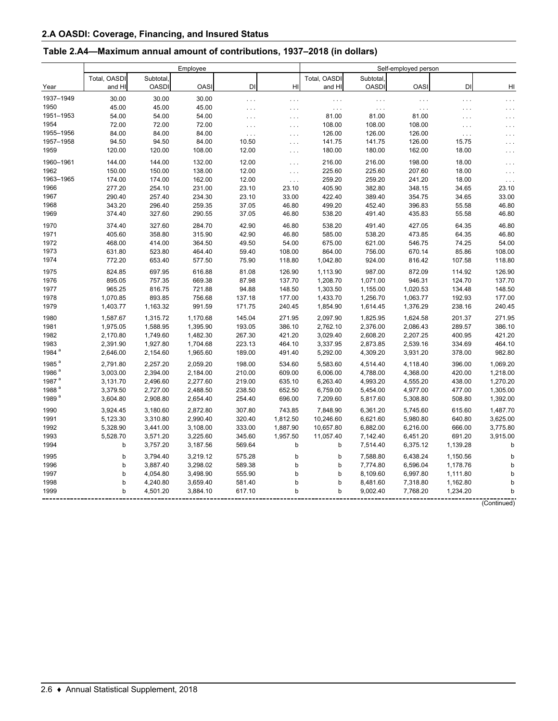### **Table 2.A4—Maximum annual amount of contributions, 1937–2018 (in dollars)**

|                   |              | Self-employed person |          |                      |                      |              |              |             |          |          |
|-------------------|--------------|----------------------|----------|----------------------|----------------------|--------------|--------------|-------------|----------|----------|
|                   | Total, OASDI | Subtotal,            |          |                      |                      | Total, OASDI | Subtotal,    |             |          |          |
| Year              | and HI       | <b>OASDI</b>         | OASI     | DI                   | HI                   | and HI       | <b>OASDI</b> | <b>OASI</b> | DI       | HI       |
| 1937-1949         | 30.00        | 30.00                | 30.00    | $\ldots$             | $\sim$ $\sim$ $\sim$ | $\ldots$     | $\ldots$     | $\cdots$    | $\ldots$ | $\cdots$ |
| 1950              | 45.00        | 45.00                | 45.00    | $\sim$ $\sim$ $\sim$ | $\ldots$             | $\ldots$     | $\ldots$     | $\cdots$    | $\cdots$ | $\cdots$ |
| 1951-1953         | 54.00        | 54.00                | 54.00    | $\cdots$             | $\cdots$             | 81.00        | 81.00        | 81.00       | $\cdots$ | $\cdots$ |
| 1954              | 72.00        | 72.00                | 72.00    | $\cdots$             | $\cdots$             | 108.00       | 108.00       | 108.00      | $\cdots$ |          |
| 1955-1956         | 84.00        | 84.00                | 84.00    | $\ldots$             | $\sim$ $\sim$ $\sim$ | 126.00       | 126.00       | 126.00      | .        |          |
| 1957-1958         | 94.50        | 94.50                | 84.00    | 10.50                | $\sim$ $\sim$ $\sim$ | 141.75       | 141.75       | 126.00      | 15.75    | .        |
| 1959              | 120.00       | 120.00               | 108.00   | 12.00                | $\sim$ $\sim$ $\sim$ | 180.00       | 180.00       | 162.00      | 18.00    |          |
| 1960-1961         | 144.00       | 144.00               | 132.00   | 12.00                | $\cdots$             | 216.00       | 216.00       | 198.00      | 18.00    | $\cdots$ |
| 1962              | 150.00       | 150.00               | 138.00   | 12.00                | $\ldots$             | 225.60       | 225.60       | 207.60      | 18.00    | $\cdots$ |
| 1963-1965         | 174.00       | 174.00               | 162.00   | 12.00                | $\ldots$             | 259.20       | 259.20       | 241.20      | 18.00    | $\ldots$ |
| 1966              | 277.20       | 254.10               | 231.00   | 23.10                | 23.10                | 405.90       | 382.80       | 348.15      | 34.65    | 23.10    |
| 1967              | 290.40       | 257.40               | 234.30   | 23.10                | 33.00                | 422.40       | 389.40       | 354.75      | 34.65    | 33.00    |
| 1968              | 343.20       | 296.40               | 259.35   | 37.05                | 46.80                | 499.20       | 452.40       | 396.83      | 55.58    | 46.80    |
| 1969              | 374.40       | 327.60               | 290.55   | 37.05                | 46.80                | 538.20       | 491.40       | 435.83      | 55.58    | 46.80    |
| 1970              | 374.40       | 327.60               | 284.70   | 42.90                | 46.80                | 538.20       | 491.40       | 427.05      | 64.35    | 46.80    |
| 1971              | 405.60       | 358.80               | 315.90   | 42.90                | 46.80                | 585.00       | 538.20       | 473.85      | 64.35    | 46.80    |
| 1972              | 468.00       | 414.00               | 364.50   | 49.50                | 54.00                | 675.00       | 621.00       | 546.75      | 74.25    | 54.00    |
| 1973              | 631.80       | 523.80               | 464.40   | 59.40                | 108.00               | 864.00       | 756.00       | 670.14      | 85.86    | 108.00   |
| 1974              | 772.20       | 653.40               | 577.50   | 75.90                | 118.80               | 1,042.80     | 924.00       | 816.42      | 107.58   | 118.80   |
| 1975              | 824.85       | 697.95               | 616.88   | 81.08                | 126.90               | 1,113.90     | 987.00       | 872.09      | 114.92   | 126.90   |
| 1976              | 895.05       | 757.35               | 669.38   | 87.98                | 137.70               | 1,208.70     | 1,071.00     | 946.31      | 124.70   | 137.70   |
| 1977              | 965.25       | 816.75               | 721.88   | 94.88                | 148.50               | 1,303.50     | 1,155.00     | 1,020.53    | 134.48   | 148.50   |
| 1978              | 1,070.85     | 893.85               | 756.68   | 137.18               | 177.00               | 1,433.70     | 1,256.70     | 1,063.77    | 192.93   | 177.00   |
| 1979              | 1,403.77     | 1,163.32             | 991.59   | 171.75               | 240.45               | 1,854.90     | 1,614.45     | 1,376.29    | 238.16   | 240.45   |
| 1980              | 1,587.67     | 1,315.72             | 1,170.68 | 145.04               | 271.95               | 2,097.90     | 1,825.95     | 1,624.58    | 201.37   | 271.95   |
| 1981              | 1,975.05     | 1,588.95             | 1,395.90 | 193.05               | 386.10               | 2,762.10     | 2,376.00     | 2,086.43    | 289.57   | 386.10   |
| 1982              | 2,170.80     | 1,749.60             | 1,482.30 | 267.30               | 421.20               | 3,029.40     | 2,608.20     | 2,207.25    | 400.95   | 421.20   |
| 1983              | 2,391.90     | 1,927.80             | 1,704.68 | 223.13               | 464.10               | 3,337.95     | 2,873.85     | 2,539.16    | 334.69   | 464.10   |
| 1984 <sup>a</sup> | 2,646.00     | 2,154.60             | 1,965.60 | 189.00               | 491.40               | 5,292.00     | 4,309.20     | 3,931.20    | 378.00   | 982.80   |
| 1985 <sup>a</sup> | 2,791.80     | 2,257.20             | 2,059.20 | 198.00               | 534.60               | 5,583.60     | 4,514.40     | 4,118.40    | 396.00   | 1,069.20 |
| 1986 <sup>a</sup> | 3,003.00     | 2,394.00             | 2,184.00 | 210.00               | 609.00               | 6,006.00     | 4,788.00     | 4,368.00    | 420.00   | 1,218.00 |
| 1987 <sup>a</sup> | 3,131.70     | 2,496.60             | 2,277.60 | 219.00               | 635.10               | 6,263.40     | 4,993.20     | 4,555.20    | 438.00   | 1,270.20 |
| 1988 <sup>a</sup> | 3,379.50     | 2,727.00             | 2,488.50 | 238.50               | 652.50               | 6,759.00     | 5,454.00     | 4,977.00    | 477.00   | 1,305.00 |
| 1989 <sup>a</sup> | 3,604.80     | 2,908.80             | 2,654.40 | 254.40               | 696.00               | 7,209.60     | 5,817.60     | 5,308.80    | 508.80   | 1,392.00 |
| 1990              | 3,924.45     | 3,180.60             | 2,872.80 | 307.80               | 743.85               | 7,848.90     | 6,361.20     | 5,745.60    | 615.60   | 1,487.70 |
| 1991              | 5,123.30     | 3,310.80             | 2,990.40 | 320.40               | 1,812.50             | 10,246.60    | 6,621.60     | 5,980.80    | 640.80   | 3,625.00 |
| 1992              | 5,328.90     | 3,441.00             | 3,108.00 | 333.00               | 1,887.90             | 10,657.80    | 6,882.00     | 6,216.00    | 666.00   | 3,775.80 |
| 1993              | 5,528.70     | 3,571.20             | 3,225.60 | 345.60               | 1,957.50             | 11,057.40    | 7,142.40     | 6,451.20    | 691.20   | 3,915.00 |
| 1994              | b            | 3,757.20             | 3,187.56 | 569.64               | b                    | b            | 7,514.40     | 6,375.12    | 1,139.28 | b        |
| 1995              | b            | 3,794.40             | 3,219.12 | 575.28               | b                    | b            | 7,588.80     | 6,438.24    | 1,150.56 | b        |
| 1996              | b            | 3,887.40             | 3,298.02 | 589.38               | b                    | b            | 7,774.80     | 6,596.04    | 1,178.76 | b        |
| 1997              | b            | 4,054.80             | 3,498.90 | 555.90               | b                    | b            | 8,109.60     | 6,997.80    | 1,111.80 | b        |
| 1998              | b            | 4,240.80             | 3,659.40 | 581.40               | b                    | þ            | 8,481.60     | 7,318.80    | 1,162.80 | b        |
| 1999              | b            | 4,501.20             | 3,884.10 | 617.10               | b                    | b            | 9,002.40     | 7,768.20    | 1,234.20 | b        |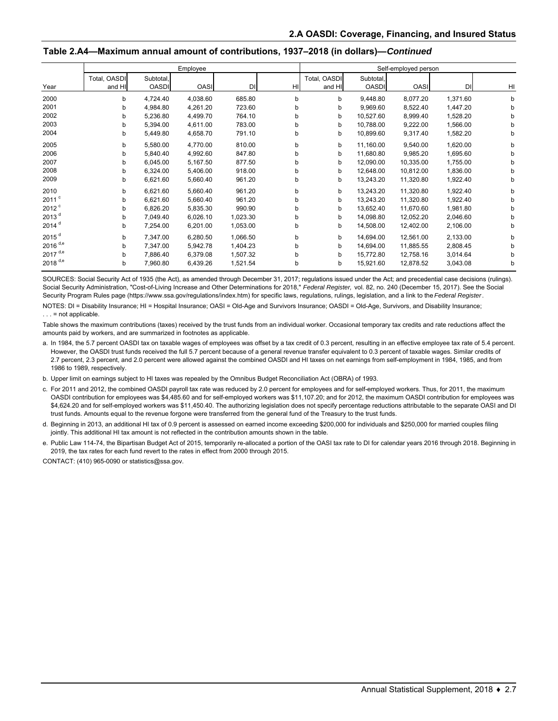#### **Table 2.A4—Maximum annual amount of contributions, 1937–2018 (in dollars)—***Continued*

|                     |                        | Employee                  |             | Self-employed person |    |                        |                           |             |          |    |
|---------------------|------------------------|---------------------------|-------------|----------------------|----|------------------------|---------------------------|-------------|----------|----|
| Year                | Total, OASDI<br>and HI | Subtotal,<br><b>OASDI</b> | <b>OASI</b> | <b>DI</b>            | HI | Total, OASDI<br>and HI | Subtotal,<br><b>OASDI</b> | <b>OASI</b> | DI       | HI |
| 2000                | b                      | 4,724.40                  | 4,038.60    | 685.80               | b  | b                      | 9,448.80                  | 8,077.20    | 1,371.60 | b  |
| 2001                | b                      | 4,984.80                  | 4,261.20    | 723.60               | b  | b                      | 9,969.60                  | 8,522.40    | 1,447.20 | b  |
| 2002                | b                      | 5,236.80                  | 4,499.70    | 764.10               | b  | b                      | 10,527.60                 | 8,999.40    | 1,528.20 |    |
| 2003                | b                      | 5,394.00                  | 4,611.00    | 783.00               | b  | b                      | 10,788.00                 | 9,222.00    | 1,566.00 | b  |
| 2004                | b                      | 5,449.80                  | 4,658.70    | 791.10               | b  | b                      | 10,899.60                 | 9,317.40    | 1,582.20 | b  |
| 2005                | b                      | 5,580.00                  | 4,770.00    | 810.00               | b  | b                      | 11,160.00                 | 9,540.00    | 1,620.00 | b  |
| 2006                | b                      | 5,840.40                  | 4,992.60    | 847.80               | b  | b                      | 11,680.80                 | 9,985.20    | 1,695.60 | b  |
| 2007                | b                      | 6,045.00                  | 5,167.50    | 877.50               | b  | b                      | 12.090.00                 | 10,335.00   | 1,755.00 | b  |
| 2008                | b                      | 6,324.00                  | 5,406.00    | 918.00               | b  | b                      | 12,648.00                 | 10,812.00   | 1,836.00 | b  |
| 2009                | b                      | 6,621.60                  | 5,660.40    | 961.20               | b  | b                      | 13,243.20                 | 11,320.80   | 1,922.40 | b  |
| 2010                | b                      | 6,621.60                  | 5,660.40    | 961.20               | b  | b                      | 13,243.20                 | 11,320.80   | 1,922.40 | b  |
| $2011$ <sup>c</sup> | b                      | 6,621.60                  | 5,660.40    | 961.20               | b  | b                      | 13,243.20                 | 11,320.80   | 1,922.40 | h  |
| 2012 <sup>c</sup>   | b                      | 6,826.20                  | 5,835.30    | 990.90               | b  | b                      | 13,652.40                 | 11,670.60   | 1,981.80 | b  |
| 2013 <sup>d</sup>   | b                      | 7,049.40                  | 6,026.10    | 1,023.30             | b  | b                      | 14,098.80                 | 12,052.20   | 2,046.60 | h  |
| $2014$ <sup>d</sup> | b                      | 7,254.00                  | 6,201.00    | 1,053.00             | b  | b                      | 14,508.00                 | 12,402.00   | 2,106.00 | b  |
| $2015$ <sup>d</sup> | b                      | 7,347.00                  | 6,280.50    | 1,066.50             | b  | b                      | 14,694.00                 | 12,561.00   | 2,133.00 | h  |
| 2016 $d,e$          | b                      | 7,347.00                  | 5,942.78    | 1,404.23             | b  | b                      | 14,694.00                 | 11,885.55   | 2,808.45 | h  |
| 2017 $d,e$          | b                      | 7,886.40                  | 6,379.08    | 1,507.32             | b  | b                      | 15,772.80                 | 12,758.16   | 3,014.64 | b  |
| 2018 $d,e$          | b                      | 7,960.80                  | 6,439.26    | 1,521.54             | b  | b                      | 15,921.60                 | 12,878.52   | 3,043.08 | b  |

SOURCES: Social Security Act of 1935 (the Act), as amended through December 31, 2017; regulations issued under the Act; and precedential case decisions (rulings). Social Security Administration, "Cost-of-Living Increase and Other Determinations for 2018," *Federal Register,* vol. 82, no. 240 (December 15, 2017). See the Social Security Program Rules page (https://www.ssa.gov/regulations/index.htm) for specific laws, regulations, rulings, legislation, and a link to the *Federal Register*.

NOTES: DI = Disability Insurance; HI = Hospital Insurance; OASI = Old-Age and Survivors Insurance; OASDI = Old-Age, Survivors, and Disability Insurance;  $\ldots$  = not applicable.

Table shows the maximum contributions (taxes) received by the trust funds from an individual worker. Occasional temporary tax credits and rate reductions affect the amounts paid by workers, and are summarized in footnotes as applicable.

a. In 1984, the 5.7 percent OASDI tax on taxable wages of employees was offset by a tax credit of 0.3 percent, resulting in an effective employee tax rate of 5.4 percent. However, the OASDI trust funds received the full 5.7 percent because of a general revenue transfer equivalent to 0.3 percent of taxable wages. Similar credits of 2.7 percent, 2.3 percent, and 2.0 percent were allowed against the combined OASDI and HI taxes on net earnings from self-employment in 1984, 1985, and from 1986 to 1989, respectively.

b. Upper limit on earnings subject to HI taxes was repealed by the Omnibus Budget Reconciliation Act (OBRA) of 1993.

c. For 2011 and 2012, the combined OASDI payroll tax rate was reduced by 2.0 percent for employees and for self-employed workers. Thus, for 2011, the maximum OASDI contribution for employees was \$4,485.60 and for self-employed workers was \$11,107.20; and for 2012, the maximum OASDI contribution for employees was \$4,624.20 and for self-employed workers was \$11,450.40. The authorizing legislation does not specify percentage reductions attributable to the separate OASI and DI trust funds. Amounts equal to the revenue forgone were transferred from the general fund of the Treasury to the trust funds.

d. Beginning in 2013, an additional HI tax of 0.9 percent is assessed on earned income exceeding \$200,000 for individuals and \$250,000 for married couples filing jointly. This additional HI tax amount is not reflected in the contribution amounts shown in the table.

e. Public Law 114-74, the Bipartisan Budget Act of 2015, temporarily re-allocated a portion of the OASI tax rate to DI for calendar years 2016 through 2018. Beginning in 2019, the tax rates for each fund revert to the rates in effect from 2000 through 2015.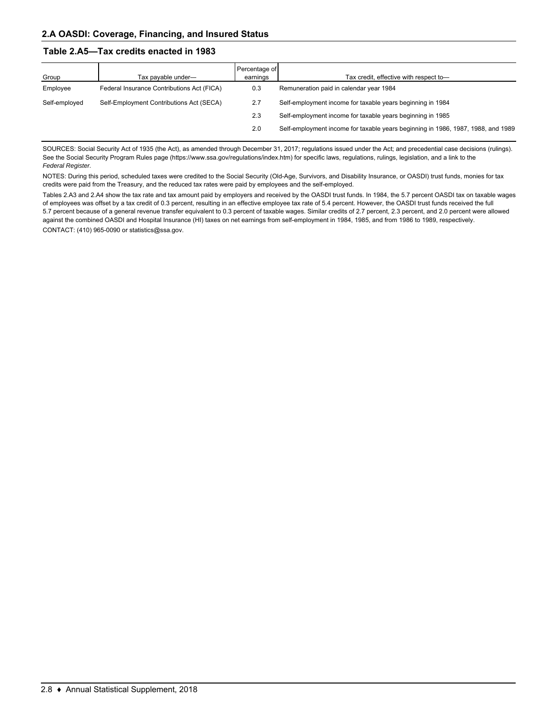#### **Table 2.A5—Tax credits enacted in 1983**

| Group         | Tax payable under-                         | Percentage of<br>earnings | Tax credit, effective with respect to-                                           |
|---------------|--------------------------------------------|---------------------------|----------------------------------------------------------------------------------|
| Employee      | Federal Insurance Contributions Act (FICA) | 0.3                       | Remuneration paid in calendar year 1984                                          |
| Self-employed | Self-Employment Contributions Act (SECA)   | 2.7                       | Self-employment income for taxable years beginning in 1984                       |
|               |                                            | 2.3                       | Self-employment income for taxable years beginning in 1985                       |
|               |                                            | 2.0                       | Self-employment income for taxable years beginning in 1986, 1987, 1988, and 1989 |

SOURCES: Social Security Act of 1935 (the Act), as amended through December 31, 2017; regulations issued under the Act; and precedential case decisions (rulings). See the Social Security Program Rules page (https://www.ssa.gov/regulations/index.htm) for specific laws, regulations, rulings, legislation, and a link to the *Federal Register.*

NOTES: During this period, scheduled taxes were credited to the Social Security (Old-Age, Survivors, and Disability Insurance, or OASDI) trust funds, monies for tax credits were paid from the Treasury, and the reduced tax rates were paid by employees and the self-employed.

CONTACT: (410) 965-0090 or statistics@ssa.gov. Tables 2.A3 and 2.A4 show the tax rate and tax amount paid by employers and received by the OASDI trust funds. In 1984, the 5.7 percent OASDI tax on taxable wages of employees was offset by a tax credit of 0.3 percent, resulting in an effective employee tax rate of 5.4 percent. However, the OASDI trust funds received the full 5.7 percent because of a general revenue transfer equivalent to 0.3 percent of taxable wages. Similar credits of 2.7 percent, 2.3 percent, and 2.0 percent were allowed against the combined OASDI and Hospital Insurance (HI) taxes on net earnings from self-employment in 1984, 1985, and from 1986 to 1989, respectively.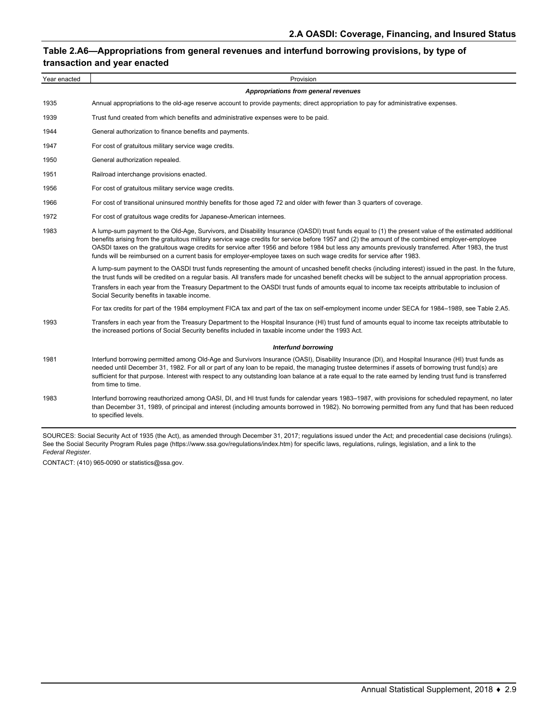### **Table 2.A6—Appropriations from general revenues and interfund borrowing provisions, by type of transaction and year enacted**

| Year enacted | Provision                                                                                                                                                                                                                                                                                                                                                                                                                                                                                                                                                                                |
|--------------|------------------------------------------------------------------------------------------------------------------------------------------------------------------------------------------------------------------------------------------------------------------------------------------------------------------------------------------------------------------------------------------------------------------------------------------------------------------------------------------------------------------------------------------------------------------------------------------|
|              | Appropriations from general revenues                                                                                                                                                                                                                                                                                                                                                                                                                                                                                                                                                     |
| 1935         | Annual appropriations to the old-age reserve account to provide payments; direct appropriation to pay for administrative expenses.                                                                                                                                                                                                                                                                                                                                                                                                                                                       |
| 1939         | Trust fund created from which benefits and administrative expenses were to be paid.                                                                                                                                                                                                                                                                                                                                                                                                                                                                                                      |
| 1944         | General authorization to finance benefits and payments.                                                                                                                                                                                                                                                                                                                                                                                                                                                                                                                                  |
| 1947         | For cost of gratuitous military service wage credits.                                                                                                                                                                                                                                                                                                                                                                                                                                                                                                                                    |
| 1950         | General authorization repealed.                                                                                                                                                                                                                                                                                                                                                                                                                                                                                                                                                          |
| 1951         | Railroad interchange provisions enacted.                                                                                                                                                                                                                                                                                                                                                                                                                                                                                                                                                 |
| 1956         | For cost of gratuitous military service wage credits.                                                                                                                                                                                                                                                                                                                                                                                                                                                                                                                                    |
| 1966         | For cost of transitional uninsured monthly benefits for those aged 72 and older with fewer than 3 quarters of coverage.                                                                                                                                                                                                                                                                                                                                                                                                                                                                  |
| 1972         | For cost of gratuitous wage credits for Japanese-American internees.                                                                                                                                                                                                                                                                                                                                                                                                                                                                                                                     |
| 1983         | A lump-sum payment to the Old-Age, Survivors, and Disability Insurance (OASDI) trust funds equal to (1) the present value of the estimated additional<br>benefits arising from the gratuitous military service wage credits for service before 1957 and (2) the amount of the combined employer-employee<br>OASDI taxes on the gratuitous wage credits for service after 1956 and before 1984 but less any amounts previously transferred. After 1983, the trust<br>funds will be reimbursed on a current basis for employer-employee taxes on such wage credits for service after 1983. |
|              | A lump-sum payment to the OASDI trust funds representing the amount of uncashed benefit checks (including interest) issued in the past. In the future,<br>the trust funds will be credited on a regular basis. All transfers made for uncashed benefit checks will be subject to the annual appropriation process.<br>Transfers in each year from the Treasury Department to the OASDI trust funds of amounts equal to income tax receipts attributable to inclusion of<br>Social Security benefits in taxable income.                                                                   |
|              | For tax credits for part of the 1984 employment FICA tax and part of the tax on self-employment income under SECA for 1984–1989, see Table 2.A5.                                                                                                                                                                                                                                                                                                                                                                                                                                         |
| 1993         | Transfers in each year from the Treasury Department to the Hospital Insurance (HI) trust fund of amounts equal to income tax receipts attributable to<br>the increased portions of Social Security benefits included in taxable income under the 1993 Act.                                                                                                                                                                                                                                                                                                                               |
|              | <b>Interfund borrowing</b>                                                                                                                                                                                                                                                                                                                                                                                                                                                                                                                                                               |
| 1981         | Interfund borrowing permitted among Old-Age and Survivors Insurance (OASI), Disability Insurance (DI), and Hospital Insurance (HI) trust funds as<br>needed until December 31, 1982. For all or part of any loan to be repaid, the managing trustee determines if assets of borrowing trust fund(s) are<br>sufficient for that purpose. Interest with respect to any outstanding loan balance at a rate equal to the rate earned by lending trust fund is transferred<br>from time to time.                                                                                              |
| 1983         | Interfund borrowing reauthorized among OASI, DI, and HI trust funds for calendar years 1983-1987, with provisions for scheduled repayment, no later<br>than December 31, 1989, of principal and interest (including amounts borrowed in 1982). No borrowing permitted from any fund that has been reduced<br>to specified levels.                                                                                                                                                                                                                                                        |

SOURCES: Social Security Act of 1935 (the Act), as amended through December 31, 2017; regulations issued under the Act; and precedential case decisions (rulings). See the Social Security Program Rules page (https://www.ssa.gov/regulations/index.htm) for specific laws, regulations, rulings, legislation, and a link to the *Federal Register.*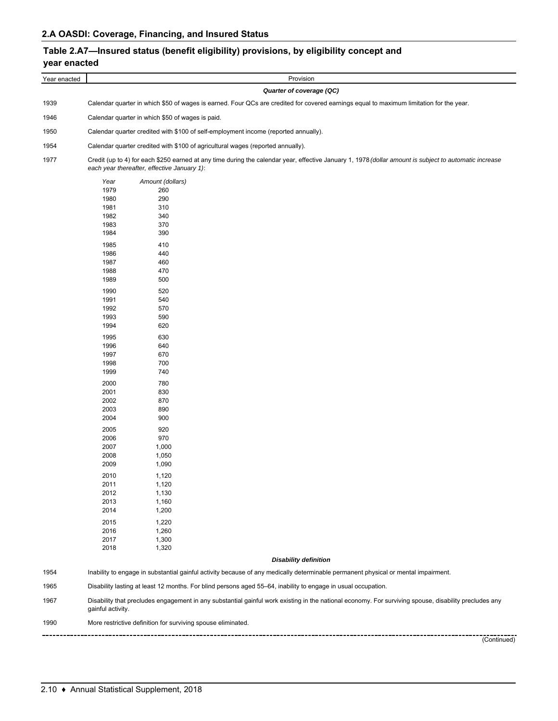# **Table 2.A7—Insured status (benefit eligibility) provisions, by eligibility concept and year enacted**

| Year enacted | Provision                                                                                                                                                                                                                                                                                                                                                                                                                                                                                                                                                                                                                                               |  |  |  |  |  |  |
|--------------|---------------------------------------------------------------------------------------------------------------------------------------------------------------------------------------------------------------------------------------------------------------------------------------------------------------------------------------------------------------------------------------------------------------------------------------------------------------------------------------------------------------------------------------------------------------------------------------------------------------------------------------------------------|--|--|--|--|--|--|
|              | Quarter of coverage (QC)                                                                                                                                                                                                                                                                                                                                                                                                                                                                                                                                                                                                                                |  |  |  |  |  |  |
| 1939         | Calendar quarter in which \$50 of wages is earned. Four QCs are credited for covered earnings equal to maximum limitation for the year.                                                                                                                                                                                                                                                                                                                                                                                                                                                                                                                 |  |  |  |  |  |  |
| 1946         | Calendar quarter in which \$50 of wages is paid.                                                                                                                                                                                                                                                                                                                                                                                                                                                                                                                                                                                                        |  |  |  |  |  |  |
| 1950         | Calendar quarter credited with \$100 of self-employment income (reported annually).                                                                                                                                                                                                                                                                                                                                                                                                                                                                                                                                                                     |  |  |  |  |  |  |
| 1954         | Calendar quarter credited with \$100 of agricultural wages (reported annually).                                                                                                                                                                                                                                                                                                                                                                                                                                                                                                                                                                         |  |  |  |  |  |  |
| 1977         | Credit (up to 4) for each \$250 earned at any time during the calendar year, effective January 1, 1978 (dollar amount is subject to automatic increase<br>each year thereafter, effective January 1):                                                                                                                                                                                                                                                                                                                                                                                                                                                   |  |  |  |  |  |  |
|              | Year<br>Amount (dollars)<br>1979<br>260<br>1980<br>290<br>1981<br>310<br>1982<br>340<br>1983<br>370<br>390<br>1984<br>1985<br>410<br>1986<br>440<br>1987<br>460<br>1988<br>470<br>1989<br>500<br>1990<br>520<br>1991<br>540<br>1992<br>570<br>1993<br>590<br>620<br>1994<br>1995<br>630<br>1996<br>640<br>1997<br>670<br>1998<br>700<br>1999<br>740<br>2000<br>780<br>2001<br>830<br>2002<br>870<br>2003<br>890<br>2004<br>900<br>2005<br>920<br>2006<br>970<br>2007<br>1,000<br>2008<br>1,050<br>2009<br>1,090<br>2010<br>1,120<br>2011<br>1,120<br>2012<br>1,130<br>2013<br>1,160<br>2014<br>1,200<br>2015<br>1,220<br>2016<br>1,260<br>2017<br>1,300 |  |  |  |  |  |  |
|              | 2018<br>1,320<br><b>Disability definition</b>                                                                                                                                                                                                                                                                                                                                                                                                                                                                                                                                                                                                           |  |  |  |  |  |  |
| 1954         | Inability to engage in substantial gainful activity because of any medically determinable permanent physical or mental impairment.                                                                                                                                                                                                                                                                                                                                                                                                                                                                                                                      |  |  |  |  |  |  |
| 1965         | Disability lasting at least 12 months. For blind persons aged 55-64, inability to engage in usual occupation.                                                                                                                                                                                                                                                                                                                                                                                                                                                                                                                                           |  |  |  |  |  |  |
| 1967         | Disability that precludes engagement in any substantial gainful work existing in the national economy. For surviving spouse, disability precludes any<br>gainful activity.                                                                                                                                                                                                                                                                                                                                                                                                                                                                              |  |  |  |  |  |  |
| 1990         | More restrictive definition for surviving spouse eliminated.                                                                                                                                                                                                                                                                                                                                                                                                                                                                                                                                                                                            |  |  |  |  |  |  |
|              | (Continued)                                                                                                                                                                                                                                                                                                                                                                                                                                                                                                                                                                                                                                             |  |  |  |  |  |  |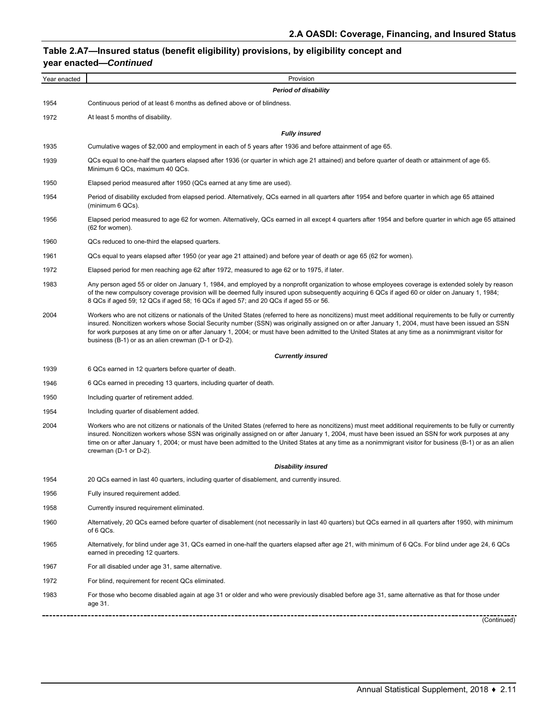## **Table 2.A7—Insured status (benefit eligibility) provisions, by eligibility concept and year enacted—***Continued*

| Year enacted        | Provision                                                                                                                                                                                                                                                                                                                                                                                                                                                                                                                      |
|---------------------|--------------------------------------------------------------------------------------------------------------------------------------------------------------------------------------------------------------------------------------------------------------------------------------------------------------------------------------------------------------------------------------------------------------------------------------------------------------------------------------------------------------------------------|
|                     | <b>Period of disability</b>                                                                                                                                                                                                                                                                                                                                                                                                                                                                                                    |
| 1954                | Continuous period of at least 6 months as defined above or of blindness.                                                                                                                                                                                                                                                                                                                                                                                                                                                       |
| 1972                | At least 5 months of disability.                                                                                                                                                                                                                                                                                                                                                                                                                                                                                               |
|                     | <b>Fully insured</b>                                                                                                                                                                                                                                                                                                                                                                                                                                                                                                           |
| 1935                | Cumulative wages of \$2,000 and employment in each of 5 years after 1936 and before attainment of age 65.                                                                                                                                                                                                                                                                                                                                                                                                                      |
| 1939                | QCs equal to one-half the quarters elapsed after 1936 (or quarter in which age 21 attained) and before quarter of death or attainment of age 65.<br>Minimum 6 QCs, maximum 40 QCs.                                                                                                                                                                                                                                                                                                                                             |
| 1950                | Elapsed period measured after 1950 (QCs earned at any time are used).                                                                                                                                                                                                                                                                                                                                                                                                                                                          |
| 1954                | Period of disability excluded from elapsed period. Alternatively, QCs earned in all quarters after 1954 and before quarter in which age 65 attained<br>(minimum 6 QCs).                                                                                                                                                                                                                                                                                                                                                        |
| 1956                | Elapsed period measured to age 62 for women. Alternatively, QCs earned in all except 4 quarters after 1954 and before quarter in which age 65 attained<br>(62 for women).                                                                                                                                                                                                                                                                                                                                                      |
| 1960                | QCs reduced to one-third the elapsed quarters.                                                                                                                                                                                                                                                                                                                                                                                                                                                                                 |
| 1961                | QCs equal to years elapsed after 1950 (or year age 21 attained) and before year of death or age 65 (62 for women).                                                                                                                                                                                                                                                                                                                                                                                                             |
| 1972                | Elapsed period for men reaching age 62 after 1972, measured to age 62 or to 1975, if later.                                                                                                                                                                                                                                                                                                                                                                                                                                    |
| 1983                | Any person aged 55 or older on January 1, 1984, and employed by a nonprofit organization to whose employees coverage is extended solely by reason<br>of the new compulsory coverage provision will be deemed fully insured upon subsequently acquiring 6 QCs if aged 60 or older on January 1, 1984;<br>8 QCs if aged 59; 12 QCs if aged 58; 16 QCs if aged 57; and 20 QCs if aged 55 or 56.                                                                                                                                   |
| 2004                | Workers who are not citizens or nationals of the United States (referred to here as noncitizens) must meet additional requirements to be fully or currently<br>insured. Noncitizen workers whose Social Security number (SSN) was originally assigned on or after January 1, 2004, must have been issued an SSN<br>for work purposes at any time on or after January 1, 2004; or must have been admitted to the United States at any time as a nonimmigrant visitor for<br>business (B-1) or as an alien crewman (D-1 or D-2). |
|                     | <b>Currently insured</b>                                                                                                                                                                                                                                                                                                                                                                                                                                                                                                       |
| 1939                | 6 QCs earned in 12 quarters before quarter of death.                                                                                                                                                                                                                                                                                                                                                                                                                                                                           |
| 1946                | 6 QCs earned in preceding 13 quarters, including quarter of death.                                                                                                                                                                                                                                                                                                                                                                                                                                                             |
| 1950                | Including quarter of retirement added.                                                                                                                                                                                                                                                                                                                                                                                                                                                                                         |
| 1954                | Including quarter of disablement added.                                                                                                                                                                                                                                                                                                                                                                                                                                                                                        |
| 2004                | Workers who are not citizens or nationals of the United States (referred to here as noncitizens) must meet additional requirements to be fully or currently<br>insured. Noncitizen workers whose SSN was originally assigned on or after January 1, 2004, must have been issued an SSN for work purposes at any<br>time on or after January 1, 2004; or must have been admitted to the United States at any time as a nonimmigrant visitor for business (B-1) or as an alien<br>crewman (D-1 or D-2).                          |
|                     | <b>Disability insured</b>                                                                                                                                                                                                                                                                                                                                                                                                                                                                                                      |
| 1954                | 20 QCs earned in last 40 quarters, including quarter of disablement, and currently insured.                                                                                                                                                                                                                                                                                                                                                                                                                                    |
| 1956                | Fully insured requirement added.                                                                                                                                                                                                                                                                                                                                                                                                                                                                                               |
| 1958                | Currently insured requirement eliminated.                                                                                                                                                                                                                                                                                                                                                                                                                                                                                      |
| 1960                | Alternatively, 20 QCs earned before quarter of disablement (not necessarily in last 40 quarters) but QCs earned in all quarters after 1950, with minimum<br>of 6 QCs.                                                                                                                                                                                                                                                                                                                                                          |
| 1965                | Alternatively, for blind under age 31, QCs earned in one-half the quarters elapsed after age 21, with minimum of 6 QCs. For blind under age 24, 6 QCs<br>earned in preceding 12 quarters.                                                                                                                                                                                                                                                                                                                                      |
| 1967                | For all disabled under age 31, same alternative.                                                                                                                                                                                                                                                                                                                                                                                                                                                                               |
| 1972                | For blind, requirement for recent QCs eliminated.                                                                                                                                                                                                                                                                                                                                                                                                                                                                              |
| 1983<br>----------- | For those who become disabled again at age 31 or older and who were previously disabled before age 31, same alternative as that for those under<br>age 31.                                                                                                                                                                                                                                                                                                                                                                     |